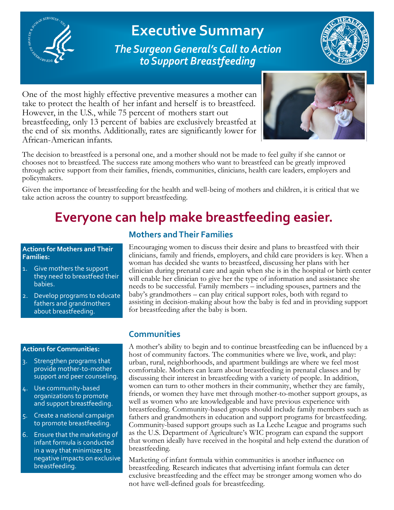

**Executive Summary**  *The Surgeon General's Call to Action to Support Breastfeeding*



One of the most highly effective preventive measures a mother can take to protect the health of her infant and herself is to breastfeed. However, in the U.S., while 75 percent of mothers start out breastfeeding, only 13 percent of babies are exclusively breastfed at the end of six months. Additionally, rates are significantly lower for African-American infants.



The decision to breastfeed is a personal one, and a mother should not be made to feel guilty if she cannot or chooses not to breastfeed. The success rate among mothers who want to breastfeed can be greatly improved through active support from their families, friends, communities, clinicians, health care leaders, employers and policymakers.

Given the importance of breastfeeding for the health and well-being of mothers and children, it is critical that we take action across the country to support breastfeeding.

# **Everyone can help make breastfeeding easier.**

## **Actions for Mothers and Their Families:**

- 1. Give mothers the support they need to breastfeed their babies.
- 2. Develop programs to educate fathers and grandmothers about breastfeeding.

## **Actions for Communities:**

- 3. Strengthen programs that provide mother-to-mother support and peer counseling.
- 4. Use community-based organizations to promote and support breastfeeding.
- 5. Create a national campaign to promote breastfeeding.
- 6. Ensure that the marketing of infant formula is conducted in a way that minimizes its negative impacts on exclusive breastfeeding.

## **Mothers and Their Families**

Encouraging women to discuss their desire and plans to breastfeed with their clinicians, family and friends, employers, and child care providers is key. When a woman has decided she wants to breastfeed, discussing her plans with her clinician during prenatal care and again when she is in the hospital or birth center will enable her clinician to give her the type of information and assistance she needs to be successful. Family members – including spouses, partners and the baby's grandmothers – can play critical support roles, both with regard to assisting in decision-making about how the baby is fed and in providing support for breastfeeding after the baby is born.

## **Communities**

A mother's ability to begin and to continue breastfeeding can be influenced by a host of community factors. The communities where we live, work, and play: urban, rural, neighborhoods, and apartment buildings are where we feel most comfortable. Mothers can learn about breastfeeding in prenatal classes and by discussing their interest in breastfeeding with a variety of people. In addition, women can turn to other mothers in their community, whether they are family, friends, or women they have met through mother-to-mother support groups, as well as women who are knowledgeable and have previous experience with breastfeeding. Community-based groups should include family members such as fathers and grandmothers in education and support programs for breastfeeding. Community-based support groups such as La Leche League and programs such as the U.S. Department of Agriculture's WIC program can expand the support that women ideally have received in the hospital and help extend the duration of breastfeeding.

Marketing of infant formula within communities is another influence on breastfeeding. Research indicates that advertising infant formula can deter exclusive breastfeeding and the effect may be stronger among women who do not have well-defined goals for breastfeeding.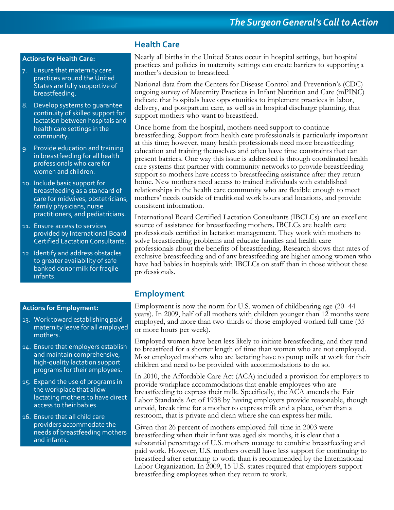## **Actions for Health Care:**

- 7. Ensure that maternity care practices around the United States are fully supportive of breastfeeding.
- 8. Develop systems to guarantee continuity of skilled support for lactation between hospitals and health care settings in the community.
- 9. Provide education and training in breastfeeding for all health professionals who care for women and children.
- 10. Include basic support for breastfeeding as a standard of care for midwives, obstetricians, family physicians, nurse practitioners, and pediatricians.
- 11. Ensure access to services provided by International Board Certified Lactation Consultants.
- 12. Identify and address obstacles to greater availability of safe banked donor milk for fragile infants.

## **Actions for Employment:**

- 13. Work toward establishing paid maternity leave for all employed mothers.
- 14. Ensure that employers establish and maintain comprehensive, high-quality lactation support programs for their employees.
- 15. Expand the use of programs in the workplace that allow lactating mothers to have direct access to their babies.
- 16. Ensure that all child care providers accommodate the needs of breastfeeding mothers and infants.

## **Health Care**

Nearly all births in the United States occur in hospital settings, but hospital practices and policies in maternity settings can create barriers to supporting a mother's decision to breastfeed.

National data from the Centers for Disease Control and Prevention's (CDC) ongoing survey of Maternity Practices in Infant Nutrition and Care (mPINC) indicate that hospitals have opportunities to implement practices in labor, delivery, and postpartum care, as well as in hospital discharge planning, that support mothers who want to breastfeed.

Once home from the hospital, mothers need support to continue breastfeeding. Support from health care professionals is particularly important at this time; however, many health professionals need more breastfeeding education and training themselves and often have time constraints that can present barriers. One way this issue is addressed is through coordinated health care systems that partner with community networks to provide breastfeeding support so mothers have access to breastfeeding assistance after they return home. New mothers need access to trained individuals with established relationships in the health care community who are flexible enough to meet mothers' needs outside of traditional work hours and locations, and provide consistent information.

International Board Certified Lactation Consultants (IBCLCs) are an excellent source of assistance for breastfeeding mothers. IBCLCs are health care professionals certified in lactation management. They work with mothers to solve breastfeeding problems and educate families and health care professionals about the benefits of breastfeeding. Research shows that rates of exclusive breastfeeding and of any breastfeeding are higher among women who have had babies in hospitals with IBCLCs on staff than in those without these professionals.

## **Employment**

Employment is now the norm for U.S. women of childbearing age (20–44 years). In 2009, half of all mothers with children younger than 12 months were employed, and more than two-thirds of those employed worked full-time (35 or more hours per week).

Employed women have been less likely to initiate breastfeeding, and they tend to breastfeed for a shorter length of time than women who are not employed. Most employed mothers who are lactating have to pump milk at work for their children and need to be provided with accommodations to do so.

In 2010, the Affordable Care Act (ACA) included a provision for employers to provide workplace accommodations that enable employees who are breastfeeding to express their milk. Specifically, the ACA amends the Fair Labor Standards Act of 1938 by having employers provide reasonable, though unpaid, break time for a mother to express milk and a place, other than a restroom, that is private and clean where she can express her milk.

Given that 26 percent of mothers employed full-time in 2003 were breastfeeding when their infant was aged six months, it is clear that a substantial percentage of U.S. mothers manage to combine breastfeeding and paid work. However, U.S. mothers overall have less support for continuing to breastfeed after returning to work than is recommended by the International Labor Organization. In 2009, 15 U.S. states required that employers support breastfeeding employees when they return to work.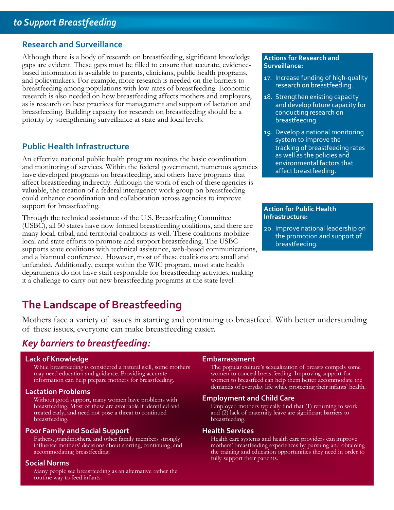## **Research and Surveillance**

Although there is a body of research on breastfeeding, significant knowledge gaps are evident. These gaps must be filled to ensure that accurate, evidencebased information is available to parents, clinicians, public health programs, and policymakers. For example, more research is needed on the barriers to breastfeeding among populations with low rates of breastfeeding. Economic research is also needed on how breastfeeding affects mothers and employers, as is research on best practices for management and support of lactation and breastfeeding. Building capacity for research on breastfeeding should be a priority by strengthening surveillance at state and local levels.

## **Public Health Infrastructure**

An effective national public health program requires the basic coordination and monitoring of services. Within the federal government, numerous agencies have developed programs on breastfeeding, and others have programs that affect breastfeeding indirectly. Although the work of each of these agencies is valuable, the creation of a federal interagency work group on breastfeeding could enhance coordination and collaboration across agencies to improve support for breastfeeding.

Through the technical assistance of the U.S. Breastfeeding Committee (USBC), all 50 states have now formed breastfeeding coalitions, and there are many local, tribal, and territorial coalitions as well. These coalitions mobilize local and state efforts to promote and support breastfeeding. The USBC supports state coalitions with technical assistance, web-based communications, and a biannual conference. However, most of these coalitions are small and unfunded. Additionally, except within the WIC program, most state health departments do not have staff responsible for breastfeeding activities, making it a challenge to carry out new breastfeeding programs at the state level.

## **The Landscape of Breastfeeding**

Mothers face a variety of issues in starting and continuing to breastfeed. With better understanding of these issues, everyone can make breastfeeding easier.

## *Key barriers to breastfeeding:*

### Lack of Knowledge **Embarrassment**

While breastfeeding is considered a natural skill, some mothers The popular culture's sexualization of breasts compels some may need education and guidance. Providing accurate women to conceal breastfeeding. Improving support for information can help prepare mothers for breastfeeding. women to breastfeed can help them better accommodate the

## **Lactation Problems**

Without good support, many women have problems with **Employment and Child Care**  treated early, and need not pose a threat to continued and (2) lack of maternity leave are significant barriers to breastfeeding. **breastfeeding**. **breastfeeding**.

## **Poor Family and Social Support Family And Social Support Family And Additional Property Realth Services**

Fathers, grandmothers, and other family members strongly Health care systems and health care providers can improve influence mothers' decisions about starting, continuing, and mothers' breastfeeding experiences by pursuing

## **Social Norms**

Many people see breastfeeding as an alternative rather the routine way to feed infants.

demands of everyday life while protecting their infants' health.

breastfeeding. Most of these are avoidable if identified and Employed mothers typically find that (1) returning to work

mothers' breastfeeding experiences by pursuing and obtaining accommodating breastfeeding. the training and education opportunities they need in order to fully support their patients.

### **Actions for Research and Surveillance:**

- 17. Increase funding of high-quality research on breastfeeding.
- 18. Strengthen existing capacity and develop future capacity for conducting research on breastfeeding.
- 19. Develop a national monitoring system to improve the tracking of breastfeeding rates as well as the policies and environmental factors that affect breastfeeding.

### **Action for Public Health Infrastructure:**

20. Improve national leadership on the promotion and support of breastfeeding.